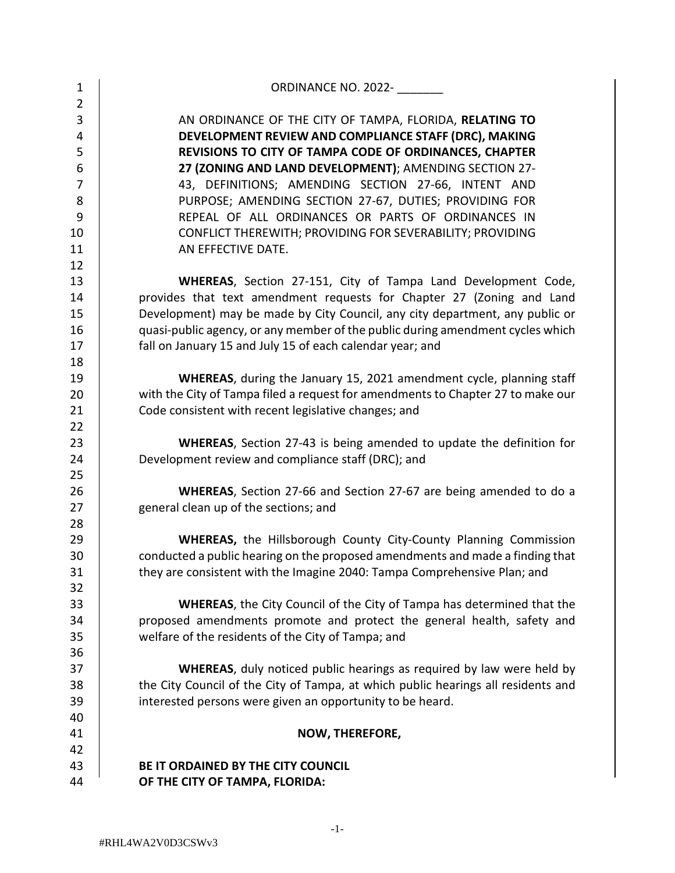| $\mathbf{1}$        | ORDINANCE NO. 2022-                                                                                          |
|---------------------|--------------------------------------------------------------------------------------------------------------|
| $\overline{2}$      |                                                                                                              |
| 3                   | AN ORDINANCE OF THE CITY OF TAMPA, FLORIDA, RELATING TO                                                      |
| 4                   | DEVELOPMENT REVIEW AND COMPLIANCE STAFF (DRC), MAKING                                                        |
| 5                   | REVISIONS TO CITY OF TAMPA CODE OF ORDINANCES, CHAPTER                                                       |
| 6<br>$\overline{7}$ | 27 (ZONING AND LAND DEVELOPMENT); AMENDING SECTION 27-                                                       |
|                     | 43, DEFINITIONS; AMENDING SECTION 27-66, INTENT AND                                                          |
| 8<br>9              | PURPOSE; AMENDING SECTION 27-67, DUTIES; PROVIDING FOR<br>REPEAL OF ALL ORDINANCES OR PARTS OF ORDINANCES IN |
| 10                  | CONFLICT THEREWITH; PROVIDING FOR SEVERABILITY; PROVIDING                                                    |
| 11                  | AN EFFECTIVE DATE.                                                                                           |
| 12                  |                                                                                                              |
| 13                  | WHEREAS, Section 27-151, City of Tampa Land Development Code,                                                |
| 14                  | provides that text amendment requests for Chapter 27 (Zoning and Land                                        |
| 15                  | Development) may be made by City Council, any city department, any public or                                 |
| 16                  | quasi-public agency, or any member of the public during amendment cycles which                               |
| 17                  | fall on January 15 and July 15 of each calendar year; and                                                    |
| 18                  |                                                                                                              |
| 19                  | WHEREAS, during the January 15, 2021 amendment cycle, planning staff                                         |
| 20                  | with the City of Tampa filed a request for amendments to Chapter 27 to make our                              |
| 21                  | Code consistent with recent legislative changes; and                                                         |
| 22                  |                                                                                                              |
| 23                  | <b>WHEREAS,</b> Section 27-43 is being amended to update the definition for                                  |
| 24                  | Development review and compliance staff (DRC); and                                                           |
| 25                  |                                                                                                              |
| 26                  | WHEREAS, Section 27-66 and Section 27-67 are being amended to do a                                           |
| 27                  | general clean up of the sections; and                                                                        |
| 28                  |                                                                                                              |
| 29                  | <b>WHEREAS, the Hillsborough County City-County Planning Commission</b>                                      |
| 30                  | conducted a public hearing on the proposed amendments and made a finding that                                |
| 31                  | they are consistent with the Imagine 2040: Tampa Comprehensive Plan; and                                     |
| 32                  |                                                                                                              |
| 33                  | <b>WHEREAS, the City Council of the City of Tampa has determined that the</b>                                |
| 34                  | proposed amendments promote and protect the general health, safety and                                       |
| 35                  | welfare of the residents of the City of Tampa; and                                                           |
| 36                  |                                                                                                              |
| 37                  | <b>WHEREAS</b> , duly noticed public hearings as required by law were held by                                |
| 38                  | the City Council of the City of Tampa, at which public hearings all residents and                            |
| 39                  | interested persons were given an opportunity to be heard.                                                    |
| 40                  |                                                                                                              |
| 41                  | NOW, THEREFORE,                                                                                              |
| 42                  |                                                                                                              |
| 43                  | BE IT ORDAINED BY THE CITY COUNCIL                                                                           |
| 44                  | OF THE CITY OF TAMPA, FLORIDA:                                                                               |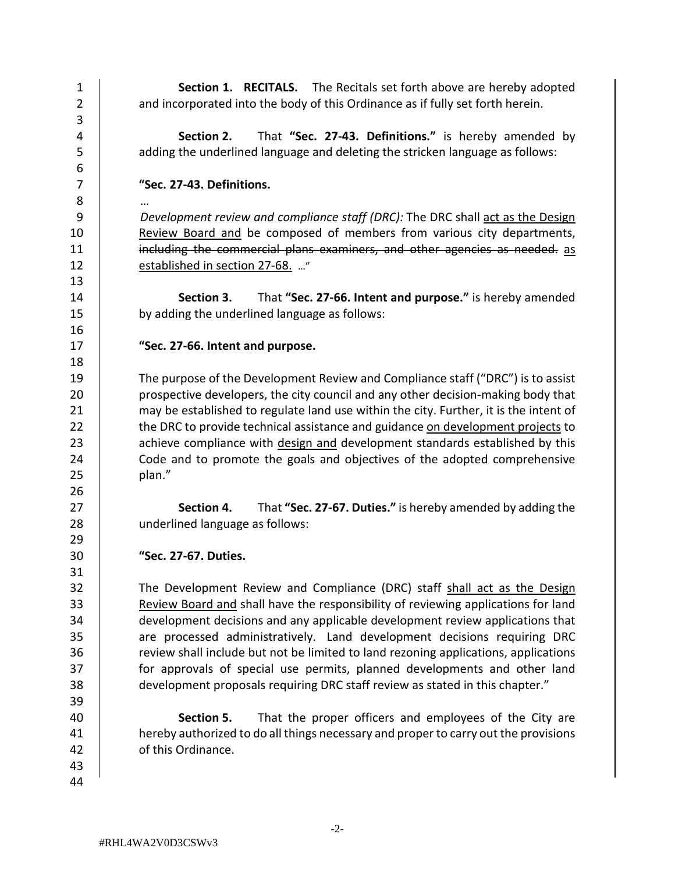| $\mathbf{1}$<br>$\overline{2}$<br>3 | <b>Section 1. RECITALS.</b> The Recitals set forth above are hereby adopted<br>and incorporated into the body of this Ordinance as if fully set forth herein. |
|-------------------------------------|---------------------------------------------------------------------------------------------------------------------------------------------------------------|
| 4<br>5<br>6                         | That "Sec. 27-43. Definitions." is hereby amended by<br>Section 2.<br>adding the underlined language and deleting the stricken language as follows:           |
| $\overline{7}$                      | "Sec. 27-43. Definitions.                                                                                                                                     |
| 8                                   |                                                                                                                                                               |
| 9                                   | Development review and compliance staff (DRC): The DRC shall act as the Design                                                                                |
| 10                                  | Review Board and be composed of members from various city departments,                                                                                        |
| 11                                  | including the commercial plans examiners, and other agencies as needed. as                                                                                    |
| 12                                  | established in section 27-68. "                                                                                                                               |
| 13                                  |                                                                                                                                                               |
| 14                                  | That "Sec. 27-66. Intent and purpose." is hereby amended<br>Section 3.                                                                                        |
| 15                                  | by adding the underlined language as follows:                                                                                                                 |
| 16                                  |                                                                                                                                                               |
| 17                                  | "Sec. 27-66. Intent and purpose.                                                                                                                              |
| 18                                  |                                                                                                                                                               |
| 19                                  | The purpose of the Development Review and Compliance staff ("DRC") is to assist                                                                               |
| 20                                  | prospective developers, the city council and any other decision-making body that                                                                              |
| 21                                  | may be established to regulate land use within the city. Further, it is the intent of                                                                         |
| 22                                  | the DRC to provide technical assistance and guidance on development projects to                                                                               |
| 23                                  | achieve compliance with design and development standards established by this                                                                                  |
| 24                                  | Code and to promote the goals and objectives of the adopted comprehensive                                                                                     |
| 25                                  | plan."                                                                                                                                                        |
| 26                                  |                                                                                                                                                               |
| 27                                  | That "Sec. 27-67. Duties." is hereby amended by adding the<br>Section 4.                                                                                      |
| 28                                  | underlined language as follows:                                                                                                                               |
| 29                                  |                                                                                                                                                               |
| 30                                  | "Sec. 27-67. Duties.                                                                                                                                          |
| 31                                  |                                                                                                                                                               |
| 32                                  | The Development Review and Compliance (DRC) staff shall act as the Design                                                                                     |
| 33                                  | Review Board and shall have the responsibility of reviewing applications for land                                                                             |
| 34                                  | development decisions and any applicable development review applications that                                                                                 |
| 35                                  | are processed administratively. Land development decisions requiring DRC                                                                                      |
| 36                                  | review shall include but not be limited to land rezoning applications, applications                                                                           |
| 37                                  | for approvals of special use permits, planned developments and other land                                                                                     |
| 38                                  | development proposals requiring DRC staff review as stated in this chapter."                                                                                  |
| 39                                  |                                                                                                                                                               |
| 40                                  | Section 5.<br>That the proper officers and employees of the City are                                                                                          |
| 41                                  | hereby authorized to do all things necessary and proper to carry out the provisions                                                                           |
| 42                                  | of this Ordinance.                                                                                                                                            |
| 43                                  |                                                                                                                                                               |
| 44                                  |                                                                                                                                                               |